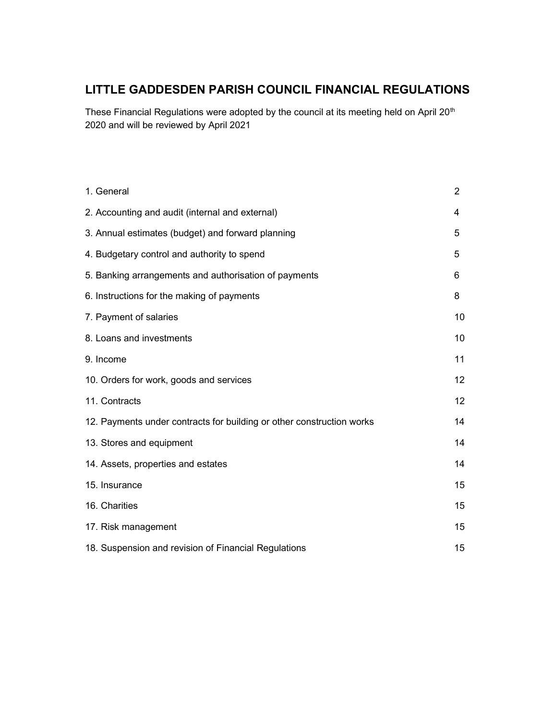# LITTLE GADDESDEN PARISH COUNCIL FINANCIAL REGULATIONS

These Financial Regulations were adopted by the council at its meeting held on April 20<sup>th</sup> 2020 and will be reviewed by April 2021

| 1. General                                                            | $\overline{2}$  |
|-----------------------------------------------------------------------|-----------------|
| 2. Accounting and audit (internal and external)                       | 4               |
| 3. Annual estimates (budget) and forward planning                     | 5               |
| 4. Budgetary control and authority to spend                           | 5               |
| 5. Banking arrangements and authorisation of payments                 | 6               |
| 6. Instructions for the making of payments                            | 8               |
| 7. Payment of salaries                                                | 10              |
| 8. Loans and investments                                              | 10              |
| 9. Income                                                             | 11              |
| 10. Orders for work, goods and services                               | 12 <sup>2</sup> |
| 11. Contracts                                                         | 12              |
| 12. Payments under contracts for building or other construction works | 14              |
| 13. Stores and equipment                                              | 14              |
| 14. Assets, properties and estates                                    | 14              |
| 15. Insurance                                                         | 15              |
| 16. Charities                                                         | 15              |
| 17. Risk management                                                   | 15              |
| 18. Suspension and revision of Financial Regulations                  | 15              |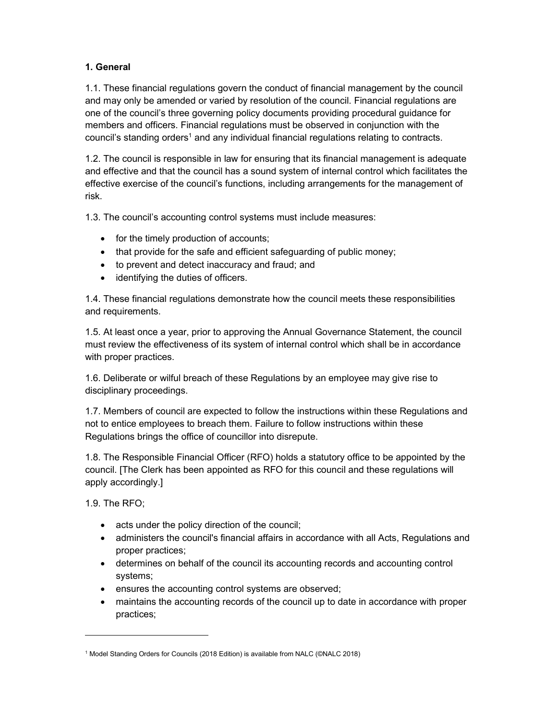# 1. General

1.1. These financial regulations govern the conduct of financial management by the council and may only be amended or varied by resolution of the council. Financial regulations are one of the council's three governing policy documents providing procedural guidance for members and officers. Financial regulations must be observed in conjunction with the council's standing orders<sup>1</sup> and any individual financial regulations relating to contracts.

1.2. The council is responsible in law for ensuring that its financial management is adequate and effective and that the council has a sound system of internal control which facilitates the effective exercise of the council's functions, including arrangements for the management of risk.

1.3. The council's accounting control systems must include measures:

- for the timely production of accounts;
- that provide for the safe and efficient safeguarding of public money;
- to prevent and detect inaccuracy and fraud; and
- identifying the duties of officers.

1.4. These financial regulations demonstrate how the council meets these responsibilities and requirements.

1.5. At least once a year, prior to approving the Annual Governance Statement, the council must review the effectiveness of its system of internal control which shall be in accordance with proper practices.

1.6. Deliberate or wilful breach of these Regulations by an employee may give rise to disciplinary proceedings.

1.7. Members of council are expected to follow the instructions within these Regulations and not to entice employees to breach them. Failure to follow instructions within these Regulations brings the office of councillor into disrepute.

1.8. The Responsible Financial Officer (RFO) holds a statutory office to be appointed by the council. [The Clerk has been appointed as RFO for this council and these regulations will apply accordingly.]

1.9. The RFO;

- acts under the policy direction of the council;
- administers the council's financial affairs in accordance with all Acts, Regulations and proper practices;
- determines on behalf of the council its accounting records and accounting control systems;
- ensures the accounting control systems are observed;
- maintains the accounting records of the council up to date in accordance with proper practices;

<sup>1</sup> Model Standing Orders for Councils (2018 Edition) is available from NALC (©NALC 2018)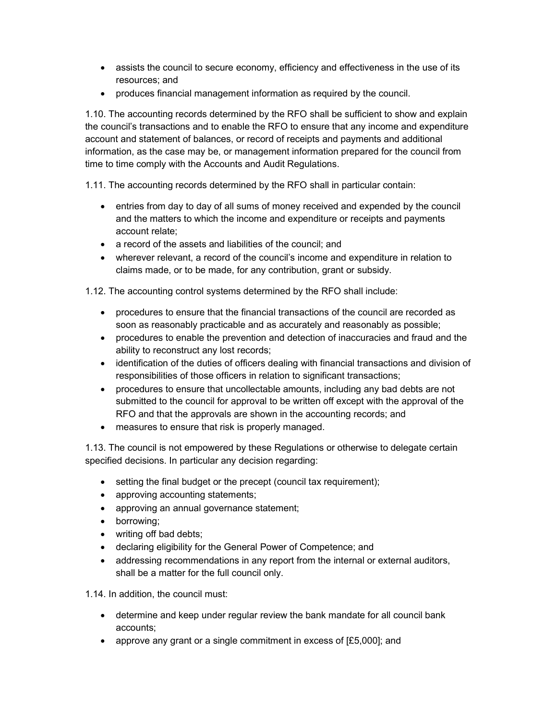- assists the council to secure economy, efficiency and effectiveness in the use of its resources; and
- produces financial management information as required by the council.

1.10. The accounting records determined by the RFO shall be sufficient to show and explain the council's transactions and to enable the RFO to ensure that any income and expenditure account and statement of balances, or record of receipts and payments and additional information, as the case may be, or management information prepared for the council from time to time comply with the Accounts and Audit Regulations.

1.11. The accounting records determined by the RFO shall in particular contain:

- entries from day to day of all sums of money received and expended by the council and the matters to which the income and expenditure or receipts and payments account relate;
- a record of the assets and liabilities of the council; and
- wherever relevant, a record of the council's income and expenditure in relation to claims made, or to be made, for any contribution, grant or subsidy.

1.12. The accounting control systems determined by the RFO shall include:

- procedures to ensure that the financial transactions of the council are recorded as soon as reasonably practicable and as accurately and reasonably as possible;
- procedures to enable the prevention and detection of inaccuracies and fraud and the ability to reconstruct any lost records;
- identification of the duties of officers dealing with financial transactions and division of responsibilities of those officers in relation to significant transactions;
- procedures to ensure that uncollectable amounts, including any bad debts are not submitted to the council for approval to be written off except with the approval of the RFO and that the approvals are shown in the accounting records; and
- measures to ensure that risk is properly managed.

1.13. The council is not empowered by these Regulations or otherwise to delegate certain specified decisions. In particular any decision regarding:

- setting the final budget or the precept (council tax requirement);
- approving accounting statements;
- approving an annual governance statement;
- borrowing;
- writing off bad debts;
- declaring eligibility for the General Power of Competence; and
- addressing recommendations in any report from the internal or external auditors, shall be a matter for the full council only.

1.14. In addition, the council must:

- determine and keep under regular review the bank mandate for all council bank accounts;
- approve any grant or a single commitment in excess of  $[£5,000]$ ; and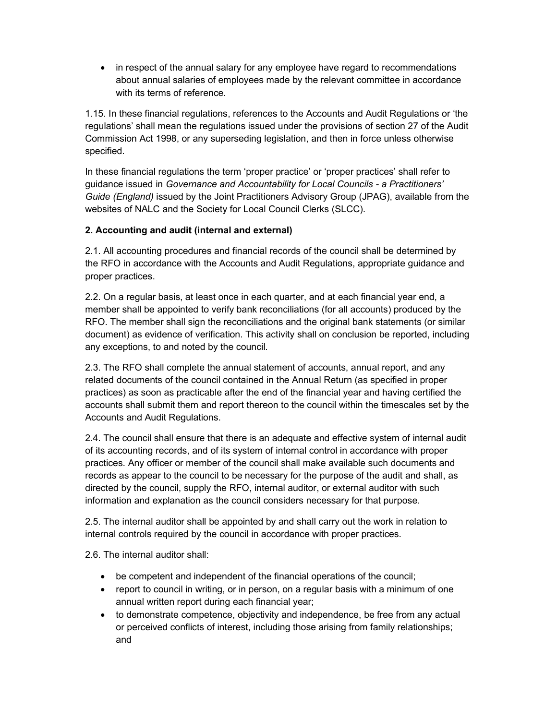• in respect of the annual salary for any employee have regard to recommendations about annual salaries of employees made by the relevant committee in accordance with its terms of reference.

1.15. In these financial regulations, references to the Accounts and Audit Regulations or 'the regulations' shall mean the regulations issued under the provisions of section 27 of the Audit Commission Act 1998, or any superseding legislation, and then in force unless otherwise specified.

In these financial regulations the term 'proper practice' or 'proper practices' shall refer to guidance issued in Governance and Accountability for Local Councils - a Practitioners' Guide (England) issued by the Joint Practitioners Advisory Group (JPAG), available from the websites of NALC and the Society for Local Council Clerks (SLCC).

## 2. Accounting and audit (internal and external)

2.1. All accounting procedures and financial records of the council shall be determined by the RFO in accordance with the Accounts and Audit Regulations, appropriate guidance and proper practices.

2.2. On a regular basis, at least once in each quarter, and at each financial year end, a member shall be appointed to verify bank reconciliations (for all accounts) produced by the RFO. The member shall sign the reconciliations and the original bank statements (or similar document) as evidence of verification. This activity shall on conclusion be reported, including any exceptions, to and noted by the council.

2.3. The RFO shall complete the annual statement of accounts, annual report, and any related documents of the council contained in the Annual Return (as specified in proper practices) as soon as practicable after the end of the financial year and having certified the accounts shall submit them and report thereon to the council within the timescales set by the Accounts and Audit Regulations.

2.4. The council shall ensure that there is an adequate and effective system of internal audit of its accounting records, and of its system of internal control in accordance with proper practices. Any officer or member of the council shall make available such documents and records as appear to the council to be necessary for the purpose of the audit and shall, as directed by the council, supply the RFO, internal auditor, or external auditor with such information and explanation as the council considers necessary for that purpose.

2.5. The internal auditor shall be appointed by and shall carry out the work in relation to internal controls required by the council in accordance with proper practices.

2.6. The internal auditor shall:

- be competent and independent of the financial operations of the council;
- report to council in writing, or in person, on a regular basis with a minimum of one annual written report during each financial year;
- to demonstrate competence, objectivity and independence, be free from any actual or perceived conflicts of interest, including those arising from family relationships; and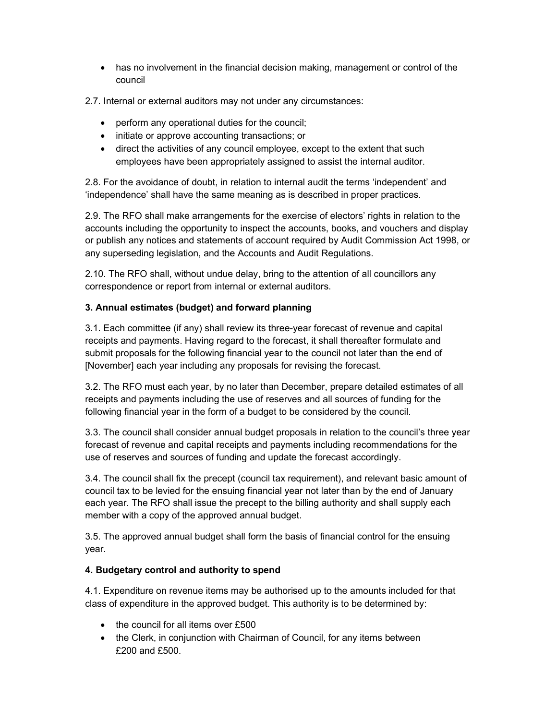- has no involvement in the financial decision making, management or control of the council
- 2.7. Internal or external auditors may not under any circumstances:
	- perform any operational duties for the council;
	- initiate or approve accounting transactions; or
	- direct the activities of any council employee, except to the extent that such employees have been appropriately assigned to assist the internal auditor.

2.8. For the avoidance of doubt, in relation to internal audit the terms 'independent' and 'independence' shall have the same meaning as is described in proper practices.

2.9. The RFO shall make arrangements for the exercise of electors' rights in relation to the accounts including the opportunity to inspect the accounts, books, and vouchers and display or publish any notices and statements of account required by Audit Commission Act 1998, or any superseding legislation, and the Accounts and Audit Regulations.

2.10. The RFO shall, without undue delay, bring to the attention of all councillors any correspondence or report from internal or external auditors.

# 3. Annual estimates (budget) and forward planning

3.1. Each committee (if any) shall review its three-year forecast of revenue and capital receipts and payments. Having regard to the forecast, it shall thereafter formulate and submit proposals for the following financial year to the council not later than the end of [November] each year including any proposals for revising the forecast.

3.2. The RFO must each year, by no later than December, prepare detailed estimates of all receipts and payments including the use of reserves and all sources of funding for the following financial year in the form of a budget to be considered by the council.

3.3. The council shall consider annual budget proposals in relation to the council's three year forecast of revenue and capital receipts and payments including recommendations for the use of reserves and sources of funding and update the forecast accordingly.

3.4. The council shall fix the precept (council tax requirement), and relevant basic amount of council tax to be levied for the ensuing financial year not later than by the end of January each year. The RFO shall issue the precept to the billing authority and shall supply each member with a copy of the approved annual budget.

3.5. The approved annual budget shall form the basis of financial control for the ensuing year.

## 4. Budgetary control and authority to spend

4.1. Expenditure on revenue items may be authorised up to the amounts included for that class of expenditure in the approved budget. This authority is to be determined by:

- the council for all items over £500
- the Clerk, in conjunction with Chairman of Council, for any items between £200 and £500.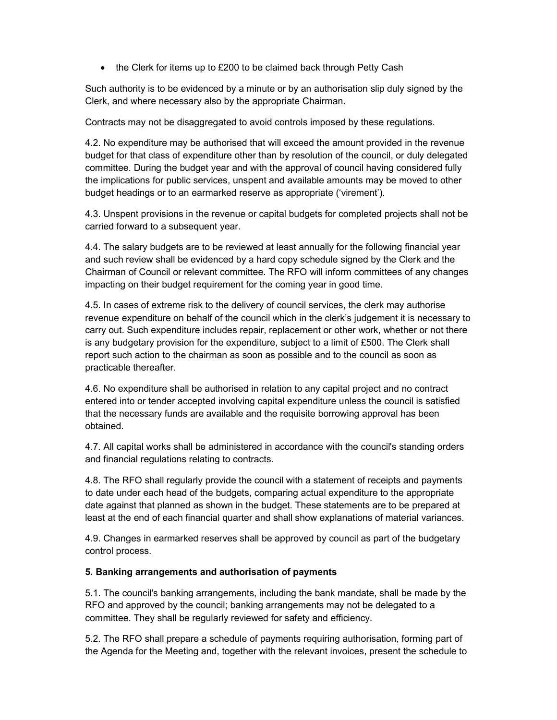• the Clerk for items up to £200 to be claimed back through Petty Cash

Such authority is to be evidenced by a minute or by an authorisation slip duly signed by the Clerk, and where necessary also by the appropriate Chairman.

Contracts may not be disaggregated to avoid controls imposed by these regulations.

4.2. No expenditure may be authorised that will exceed the amount provided in the revenue budget for that class of expenditure other than by resolution of the council, or duly delegated committee. During the budget year and with the approval of council having considered fully the implications for public services, unspent and available amounts may be moved to other budget headings or to an earmarked reserve as appropriate ('virement').

4.3. Unspent provisions in the revenue or capital budgets for completed projects shall not be carried forward to a subsequent year.

4.4. The salary budgets are to be reviewed at least annually for the following financial year and such review shall be evidenced by a hard copy schedule signed by the Clerk and the Chairman of Council or relevant committee. The RFO will inform committees of any changes impacting on their budget requirement for the coming year in good time.

4.5. In cases of extreme risk to the delivery of council services, the clerk may authorise revenue expenditure on behalf of the council which in the clerk's judgement it is necessary to carry out. Such expenditure includes repair, replacement or other work, whether or not there is any budgetary provision for the expenditure, subject to a limit of £500. The Clerk shall report such action to the chairman as soon as possible and to the council as soon as practicable thereafter.

4.6. No expenditure shall be authorised in relation to any capital project and no contract entered into or tender accepted involving capital expenditure unless the council is satisfied that the necessary funds are available and the requisite borrowing approval has been obtained.

4.7. All capital works shall be administered in accordance with the council's standing orders and financial regulations relating to contracts.

4.8. The RFO shall regularly provide the council with a statement of receipts and payments to date under each head of the budgets, comparing actual expenditure to the appropriate date against that planned as shown in the budget. These statements are to be prepared at least at the end of each financial quarter and shall show explanations of material variances.

4.9. Changes in earmarked reserves shall be approved by council as part of the budgetary control process.

#### 5. Banking arrangements and authorisation of payments

5.1. The council's banking arrangements, including the bank mandate, shall be made by the RFO and approved by the council; banking arrangements may not be delegated to a committee. They shall be regularly reviewed for safety and efficiency.

5.2. The RFO shall prepare a schedule of payments requiring authorisation, forming part of the Agenda for the Meeting and, together with the relevant invoices, present the schedule to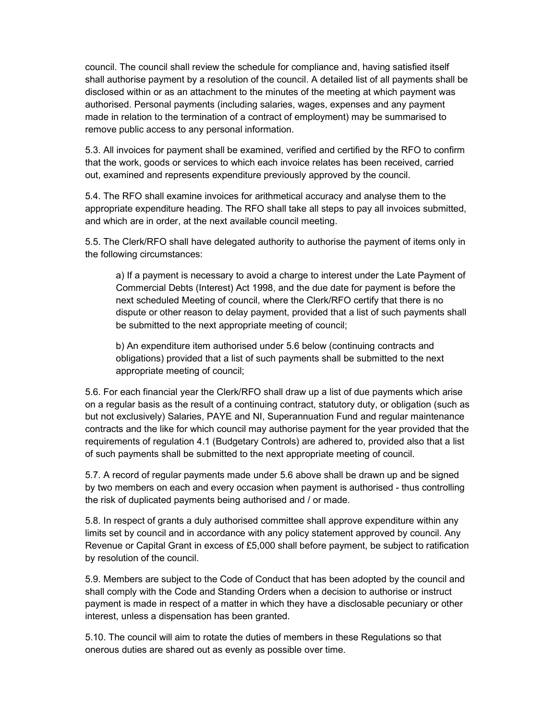council. The council shall review the schedule for compliance and, having satisfied itself shall authorise payment by a resolution of the council. A detailed list of all payments shall be disclosed within or as an attachment to the minutes of the meeting at which payment was authorised. Personal payments (including salaries, wages, expenses and any payment made in relation to the termination of a contract of employment) may be summarised to remove public access to any personal information.

5.3. All invoices for payment shall be examined, verified and certified by the RFO to confirm that the work, goods or services to which each invoice relates has been received, carried out, examined and represents expenditure previously approved by the council.

5.4. The RFO shall examine invoices for arithmetical accuracy and analyse them to the appropriate expenditure heading. The RFO shall take all steps to pay all invoices submitted, and which are in order, at the next available council meeting.

5.5. The Clerk/RFO shall have delegated authority to authorise the payment of items only in the following circumstances:

a) If a payment is necessary to avoid a charge to interest under the Late Payment of Commercial Debts (Interest) Act 1998, and the due date for payment is before the next scheduled Meeting of council, where the Clerk/RFO certify that there is no dispute or other reason to delay payment, provided that a list of such payments shall be submitted to the next appropriate meeting of council;

b) An expenditure item authorised under 5.6 below (continuing contracts and obligations) provided that a list of such payments shall be submitted to the next appropriate meeting of council;

5.6. For each financial year the Clerk/RFO shall draw up a list of due payments which arise on a regular basis as the result of a continuing contract, statutory duty, or obligation (such as but not exclusively) Salaries, PAYE and NI, Superannuation Fund and regular maintenance contracts and the like for which council may authorise payment for the year provided that the requirements of regulation 4.1 (Budgetary Controls) are adhered to, provided also that a list of such payments shall be submitted to the next appropriate meeting of council.

5.7. A record of regular payments made under 5.6 above shall be drawn up and be signed by two members on each and every occasion when payment is authorised - thus controlling the risk of duplicated payments being authorised and / or made.

5.8. In respect of grants a duly authorised committee shall approve expenditure within any limits set by council and in accordance with any policy statement approved by council. Any Revenue or Capital Grant in excess of £5,000 shall before payment, be subject to ratification by resolution of the council.

5.9. Members are subject to the Code of Conduct that has been adopted by the council and shall comply with the Code and Standing Orders when a decision to authorise or instruct payment is made in respect of a matter in which they have a disclosable pecuniary or other interest, unless a dispensation has been granted.

5.10. The council will aim to rotate the duties of members in these Regulations so that onerous duties are shared out as evenly as possible over time.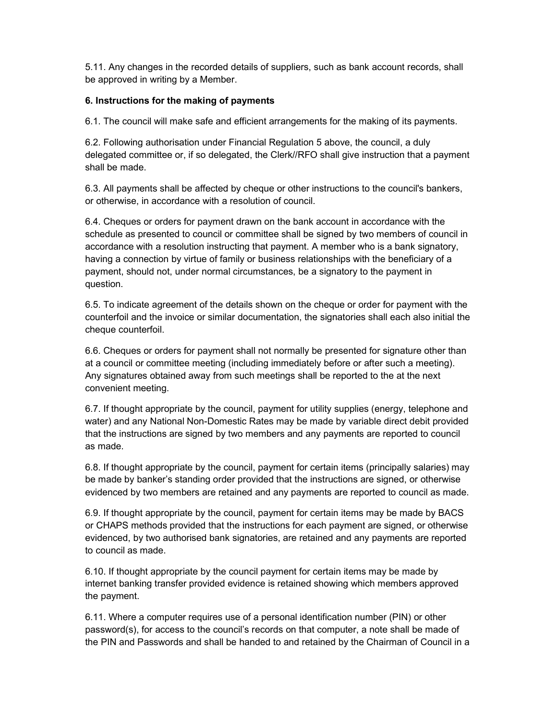5.11. Any changes in the recorded details of suppliers, such as bank account records, shall be approved in writing by a Member.

## 6. Instructions for the making of payments

6.1. The council will make safe and efficient arrangements for the making of its payments.

6.2. Following authorisation under Financial Regulation 5 above, the council, a duly delegated committee or, if so delegated, the Clerk//RFO shall give instruction that a payment shall be made.

6.3. All payments shall be affected by cheque or other instructions to the council's bankers, or otherwise, in accordance with a resolution of council.

6.4. Cheques or orders for payment drawn on the bank account in accordance with the schedule as presented to council or committee shall be signed by two members of council in accordance with a resolution instructing that payment. A member who is a bank signatory, having a connection by virtue of family or business relationships with the beneficiary of a payment, should not, under normal circumstances, be a signatory to the payment in question.

6.5. To indicate agreement of the details shown on the cheque or order for payment with the counterfoil and the invoice or similar documentation, the signatories shall each also initial the cheque counterfoil.

6.6. Cheques or orders for payment shall not normally be presented for signature other than at a council or committee meeting (including immediately before or after such a meeting). Any signatures obtained away from such meetings shall be reported to the at the next convenient meeting.

6.7. If thought appropriate by the council, payment for utility supplies (energy, telephone and water) and any National Non-Domestic Rates may be made by variable direct debit provided that the instructions are signed by two members and any payments are reported to council as made.

6.8. If thought appropriate by the council, payment for certain items (principally salaries) may be made by banker's standing order provided that the instructions are signed, or otherwise evidenced by two members are retained and any payments are reported to council as made.

6.9. If thought appropriate by the council, payment for certain items may be made by BACS or CHAPS methods provided that the instructions for each payment are signed, or otherwise evidenced, by two authorised bank signatories, are retained and any payments are reported to council as made.

6.10. If thought appropriate by the council payment for certain items may be made by internet banking transfer provided evidence is retained showing which members approved the payment.

6.11. Where a computer requires use of a personal identification number (PIN) or other password(s), for access to the council's records on that computer, a note shall be made of the PIN and Passwords and shall be handed to and retained by the Chairman of Council in a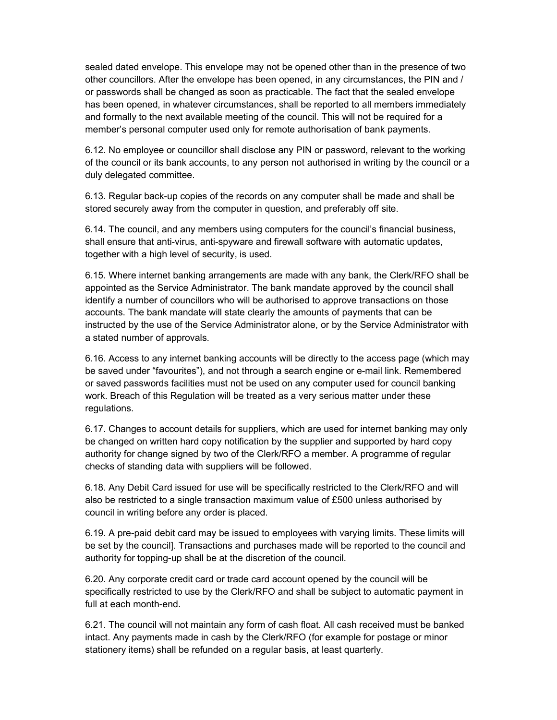sealed dated envelope. This envelope may not be opened other than in the presence of two other councillors. After the envelope has been opened, in any circumstances, the PIN and / or passwords shall be changed as soon as practicable. The fact that the sealed envelope has been opened, in whatever circumstances, shall be reported to all members immediately and formally to the next available meeting of the council. This will not be required for a member's personal computer used only for remote authorisation of bank payments.

6.12. No employee or councillor shall disclose any PIN or password, relevant to the working of the council or its bank accounts, to any person not authorised in writing by the council or a duly delegated committee.

6.13. Regular back-up copies of the records on any computer shall be made and shall be stored securely away from the computer in question, and preferably off site.

6.14. The council, and any members using computers for the council's financial business, shall ensure that anti-virus, anti-spyware and firewall software with automatic updates, together with a high level of security, is used.

6.15. Where internet banking arrangements are made with any bank, the Clerk/RFO shall be appointed as the Service Administrator. The bank mandate approved by the council shall identify a number of councillors who will be authorised to approve transactions on those accounts. The bank mandate will state clearly the amounts of payments that can be instructed by the use of the Service Administrator alone, or by the Service Administrator with a stated number of approvals.

6.16. Access to any internet banking accounts will be directly to the access page (which may be saved under "favourites"), and not through a search engine or e-mail link. Remembered or saved passwords facilities must not be used on any computer used for council banking work. Breach of this Regulation will be treated as a very serious matter under these regulations.

6.17. Changes to account details for suppliers, which are used for internet banking may only be changed on written hard copy notification by the supplier and supported by hard copy authority for change signed by two of the Clerk/RFO a member. A programme of regular checks of standing data with suppliers will be followed.

6.18. Any Debit Card issued for use will be specifically restricted to the Clerk/RFO and will also be restricted to a single transaction maximum value of £500 unless authorised by council in writing before any order is placed.

6.19. A pre-paid debit card may be issued to employees with varying limits. These limits will be set by the council]. Transactions and purchases made will be reported to the council and authority for topping-up shall be at the discretion of the council.

6.20. Any corporate credit card or trade card account opened by the council will be specifically restricted to use by the Clerk/RFO and shall be subject to automatic payment in full at each month-end.

6.21. The council will not maintain any form of cash float. All cash received must be banked intact. Any payments made in cash by the Clerk/RFO (for example for postage or minor stationery items) shall be refunded on a regular basis, at least quarterly.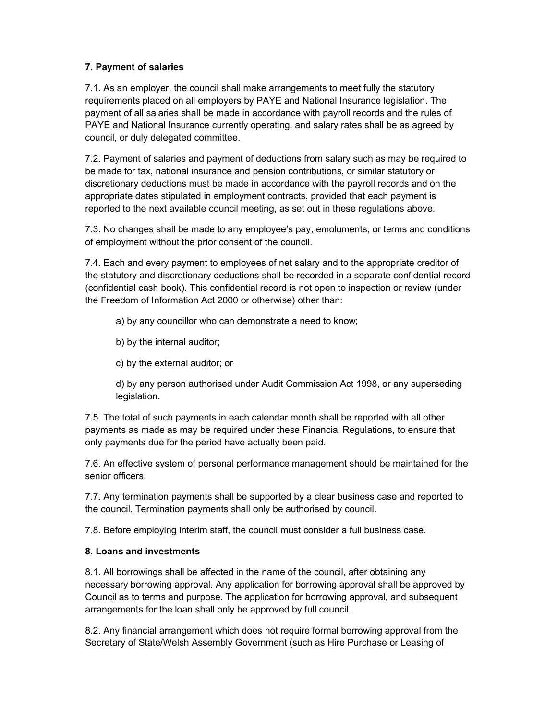## 7. Payment of salaries

7.1. As an employer, the council shall make arrangements to meet fully the statutory requirements placed on all employers by PAYE and National Insurance legislation. The payment of all salaries shall be made in accordance with payroll records and the rules of PAYE and National Insurance currently operating, and salary rates shall be as agreed by council, or duly delegated committee.

7.2. Payment of salaries and payment of deductions from salary such as may be required to be made for tax, national insurance and pension contributions, or similar statutory or discretionary deductions must be made in accordance with the payroll records and on the appropriate dates stipulated in employment contracts, provided that each payment is reported to the next available council meeting, as set out in these regulations above.

7.3. No changes shall be made to any employee's pay, emoluments, or terms and conditions of employment without the prior consent of the council.

7.4. Each and every payment to employees of net salary and to the appropriate creditor of the statutory and discretionary deductions shall be recorded in a separate confidential record (confidential cash book). This confidential record is not open to inspection or review (under the Freedom of Information Act 2000 or otherwise) other than:

a) by any councillor who can demonstrate a need to know;

- b) by the internal auditor;
- c) by the external auditor; or

d) by any person authorised under Audit Commission Act 1998, or any superseding legislation.

7.5. The total of such payments in each calendar month shall be reported with all other payments as made as may be required under these Financial Regulations, to ensure that only payments due for the period have actually been paid.

7.6. An effective system of personal performance management should be maintained for the senior officers.

7.7. Any termination payments shall be supported by a clear business case and reported to the council. Termination payments shall only be authorised by council.

7.8. Before employing interim staff, the council must consider a full business case.

## 8. Loans and investments

8.1. All borrowings shall be affected in the name of the council, after obtaining any necessary borrowing approval. Any application for borrowing approval shall be approved by Council as to terms and purpose. The application for borrowing approval, and subsequent arrangements for the loan shall only be approved by full council.

8.2. Any financial arrangement which does not require formal borrowing approval from the Secretary of State/Welsh Assembly Government (such as Hire Purchase or Leasing of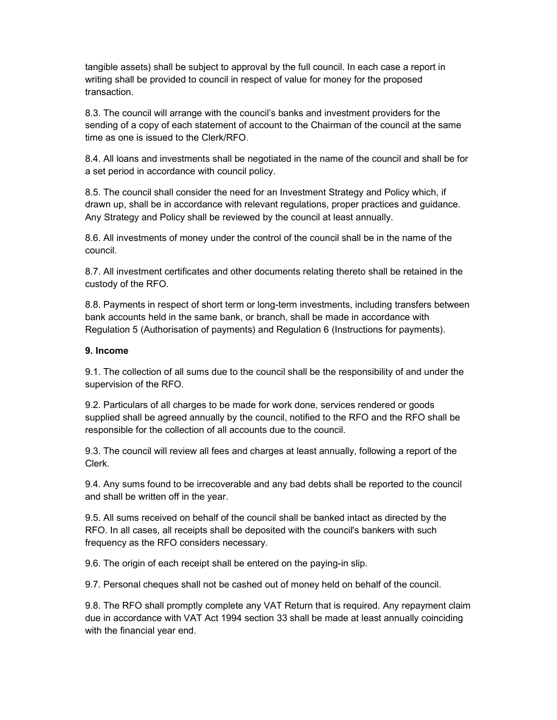tangible assets) shall be subject to approval by the full council. In each case a report in writing shall be provided to council in respect of value for money for the proposed transaction.

8.3. The council will arrange with the council's banks and investment providers for the sending of a copy of each statement of account to the Chairman of the council at the same time as one is issued to the Clerk/RFO.

8.4. All loans and investments shall be negotiated in the name of the council and shall be for a set period in accordance with council policy.

8.5. The council shall consider the need for an Investment Strategy and Policy which, if drawn up, shall be in accordance with relevant regulations, proper practices and guidance. Any Strategy and Policy shall be reviewed by the council at least annually.

8.6. All investments of money under the control of the council shall be in the name of the council.

8.7. All investment certificates and other documents relating thereto shall be retained in the custody of the RFO.

8.8. Payments in respect of short term or long-term investments, including transfers between bank accounts held in the same bank, or branch, shall be made in accordance with Regulation 5 (Authorisation of payments) and Regulation 6 (Instructions for payments).

#### 9. Income

9.1. The collection of all sums due to the council shall be the responsibility of and under the supervision of the RFO.

9.2. Particulars of all charges to be made for work done, services rendered or goods supplied shall be agreed annually by the council, notified to the RFO and the RFO shall be responsible for the collection of all accounts due to the council.

9.3. The council will review all fees and charges at least annually, following a report of the Clerk.

9.4. Any sums found to be irrecoverable and any bad debts shall be reported to the council and shall be written off in the year.

9.5. All sums received on behalf of the council shall be banked intact as directed by the RFO. In all cases, all receipts shall be deposited with the council's bankers with such frequency as the RFO considers necessary.

9.6. The origin of each receipt shall be entered on the paying-in slip.

9.7. Personal cheques shall not be cashed out of money held on behalf of the council.

9.8. The RFO shall promptly complete any VAT Return that is required. Any repayment claim due in accordance with VAT Act 1994 section 33 shall be made at least annually coinciding with the financial year end.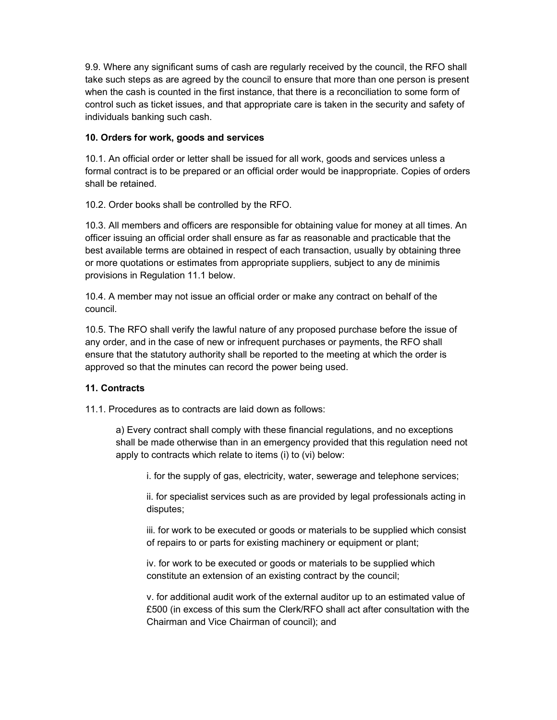9.9. Where any significant sums of cash are regularly received by the council, the RFO shall take such steps as are agreed by the council to ensure that more than one person is present when the cash is counted in the first instance, that there is a reconciliation to some form of control such as ticket issues, and that appropriate care is taken in the security and safety of individuals banking such cash.

## 10. Orders for work, goods and services

10.1. An official order or letter shall be issued for all work, goods and services unless a formal contract is to be prepared or an official order would be inappropriate. Copies of orders shall be retained.

10.2. Order books shall be controlled by the RFO.

10.3. All members and officers are responsible for obtaining value for money at all times. An officer issuing an official order shall ensure as far as reasonable and practicable that the best available terms are obtained in respect of each transaction, usually by obtaining three or more quotations or estimates from appropriate suppliers, subject to any de minimis provisions in Regulation 11.1 below.

10.4. A member may not issue an official order or make any contract on behalf of the council.

10.5. The RFO shall verify the lawful nature of any proposed purchase before the issue of any order, and in the case of new or infrequent purchases or payments, the RFO shall ensure that the statutory authority shall be reported to the meeting at which the order is approved so that the minutes can record the power being used.

## 11. Contracts

11.1. Procedures as to contracts are laid down as follows:

a) Every contract shall comply with these financial regulations, and no exceptions shall be made otherwise than in an emergency provided that this regulation need not apply to contracts which relate to items (i) to (vi) below:

i. for the supply of gas, electricity, water, sewerage and telephone services;

ii. for specialist services such as are provided by legal professionals acting in disputes;

iii. for work to be executed or goods or materials to be supplied which consist of repairs to or parts for existing machinery or equipment or plant;

iv. for work to be executed or goods or materials to be supplied which constitute an extension of an existing contract by the council;

v. for additional audit work of the external auditor up to an estimated value of £500 (in excess of this sum the Clerk/RFO shall act after consultation with the Chairman and Vice Chairman of council); and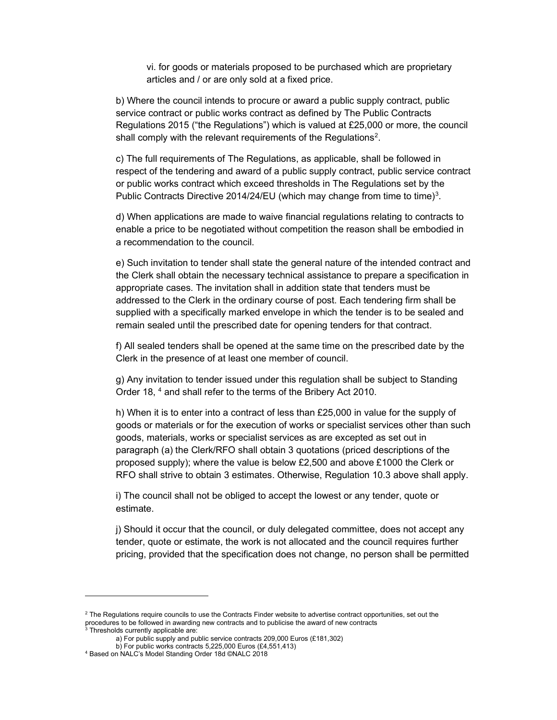vi. for goods or materials proposed to be purchased which are proprietary articles and / or are only sold at a fixed price.

b) Where the council intends to procure or award a public supply contract, public service contract or public works contract as defined by The Public Contracts Regulations 2015 ("the Regulations") which is valued at £25,000 or more, the council shall comply with the relevant requirements of the Regulations<sup>2</sup>.

c) The full requirements of The Regulations, as applicable, shall be followed in respect of the tendering and award of a public supply contract, public service contract or public works contract which exceed thresholds in The Regulations set by the Public Contracts Directive 2014/24/EU (which may change from time to time)<sup>3</sup>.

d) When applications are made to waive financial regulations relating to contracts to enable a price to be negotiated without competition the reason shall be embodied in a recommendation to the council.

e) Such invitation to tender shall state the general nature of the intended contract and the Clerk shall obtain the necessary technical assistance to prepare a specification in appropriate cases. The invitation shall in addition state that tenders must be addressed to the Clerk in the ordinary course of post. Each tendering firm shall be supplied with a specifically marked envelope in which the tender is to be sealed and remain sealed until the prescribed date for opening tenders for that contract.

f) All sealed tenders shall be opened at the same time on the prescribed date by the Clerk in the presence of at least one member of council.

g) Any invitation to tender issued under this regulation shall be subject to Standing Order 18, <sup>4</sup> and shall refer to the terms of the Bribery Act 2010.

h) When it is to enter into a contract of less than £25,000 in value for the supply of goods or materials or for the execution of works or specialist services other than such goods, materials, works or specialist services as are excepted as set out in paragraph (a) the Clerk/RFO shall obtain 3 quotations (priced descriptions of the proposed supply); where the value is below £2,500 and above £1000 the Clerk or RFO shall strive to obtain 3 estimates. Otherwise, Regulation 10.3 above shall apply.

i) The council shall not be obliged to accept the lowest or any tender, quote or estimate.

j) Should it occur that the council, or duly delegated committee, does not accept any tender, quote or estimate, the work is not allocated and the council requires further pricing, provided that the specification does not change, no person shall be permitted

 $2$  The Regulations require councils to use the Contracts Finder website to advertise contract opportunities, set out the procedures to be followed in awarding new contracts and to publicise the award of new contracts<br><sup>3</sup> Thresholds currently applicable are: Thresholds currently applicable are:

a) For public supply and public service contracts 209,000 Euros (£181,302)

b) For public works contracts 5,225,000 Euros (£4,551,413)

<sup>4</sup> Based on NALC's Model Standing Order 18d ©NALC 2018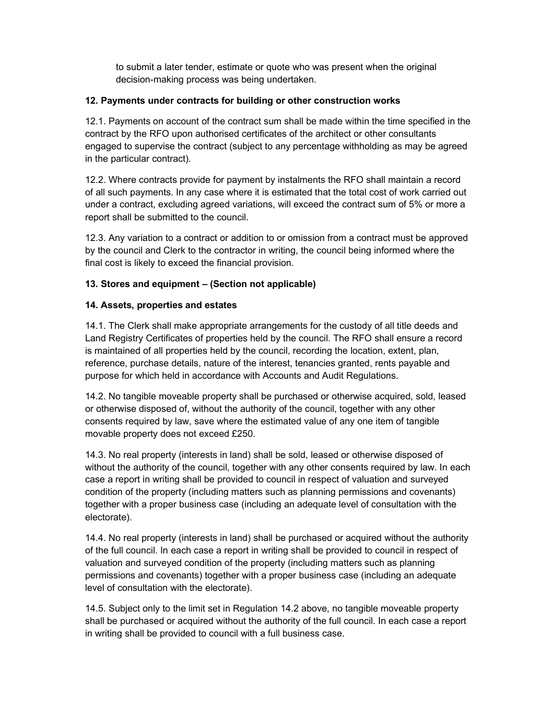to submit a later tender, estimate or quote who was present when the original decision-making process was being undertaken.

## 12. Payments under contracts for building or other construction works

12.1. Payments on account of the contract sum shall be made within the time specified in the contract by the RFO upon authorised certificates of the architect or other consultants engaged to supervise the contract (subject to any percentage withholding as may be agreed in the particular contract).

12.2. Where contracts provide for payment by instalments the RFO shall maintain a record of all such payments. In any case where it is estimated that the total cost of work carried out under a contract, excluding agreed variations, will exceed the contract sum of 5% or more a report shall be submitted to the council.

12.3. Any variation to a contract or addition to or omission from a contract must be approved by the council and Clerk to the contractor in writing, the council being informed where the final cost is likely to exceed the financial provision.

# 13. Stores and equipment – (Section not applicable)

## 14. Assets, properties and estates

14.1. The Clerk shall make appropriate arrangements for the custody of all title deeds and Land Registry Certificates of properties held by the council. The RFO shall ensure a record is maintained of all properties held by the council, recording the location, extent, plan, reference, purchase details, nature of the interest, tenancies granted, rents payable and purpose for which held in accordance with Accounts and Audit Regulations.

14.2. No tangible moveable property shall be purchased or otherwise acquired, sold, leased or otherwise disposed of, without the authority of the council, together with any other consents required by law, save where the estimated value of any one item of tangible movable property does not exceed £250.

14.3. No real property (interests in land) shall be sold, leased or otherwise disposed of without the authority of the council, together with any other consents required by law. In each case a report in writing shall be provided to council in respect of valuation and surveyed condition of the property (including matters such as planning permissions and covenants) together with a proper business case (including an adequate level of consultation with the electorate).

14.4. No real property (interests in land) shall be purchased or acquired without the authority of the full council. In each case a report in writing shall be provided to council in respect of valuation and surveyed condition of the property (including matters such as planning permissions and covenants) together with a proper business case (including an adequate level of consultation with the electorate).

14.5. Subject only to the limit set in Regulation 14.2 above, no tangible moveable property shall be purchased or acquired without the authority of the full council. In each case a report in writing shall be provided to council with a full business case.